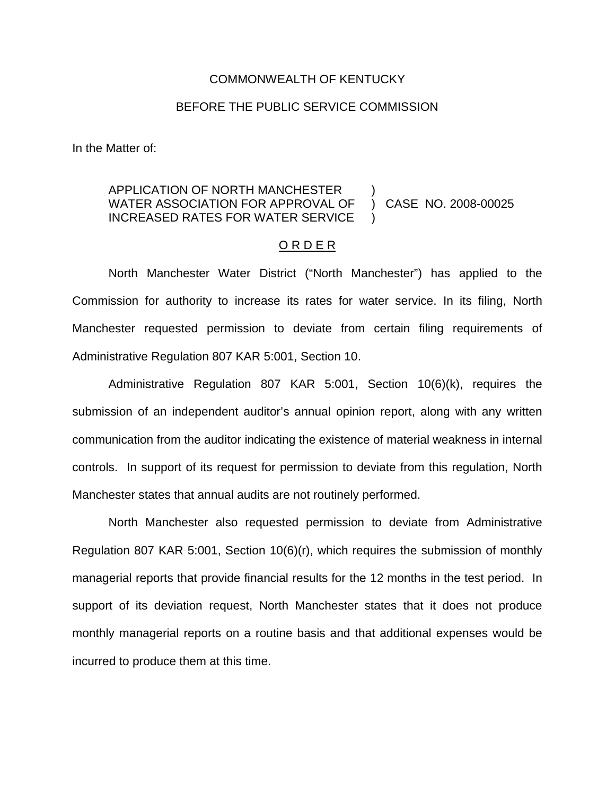## COMMONWEALTH OF KENTUCKY

## BEFORE THE PUBLIC SERVICE COMMISSION

In the Matter of:

## APPLICATION OF NORTH MANCHESTER WATER ASSOCIATION FOR APPROVAL OF INCREASED RATES FOR WATER SERVICE ) ) CASE NO. 2008-00025 )

## O R D E R

North Manchester Water District ("North Manchester") has applied to the Commission for authority to increase its rates for water service. In its filing, North Manchester requested permission to deviate from certain filing requirements of Administrative Regulation 807 KAR 5:001, Section 10.

Administrative Regulation 807 KAR 5:001, Section 10(6)(k), requires the submission of an independent auditor's annual opinion report, along with any written communication from the auditor indicating the existence of material weakness in internal controls. In support of its request for permission to deviate from this regulation, North Manchester states that annual audits are not routinely performed.

North Manchester also requested permission to deviate from Administrative Regulation 807 KAR 5:001, Section 10(6)(r), which requires the submission of monthly managerial reports that provide financial results for the 12 months in the test period. In support of its deviation request, North Manchester states that it does not produce monthly managerial reports on a routine basis and that additional expenses would be incurred to produce them at this time.